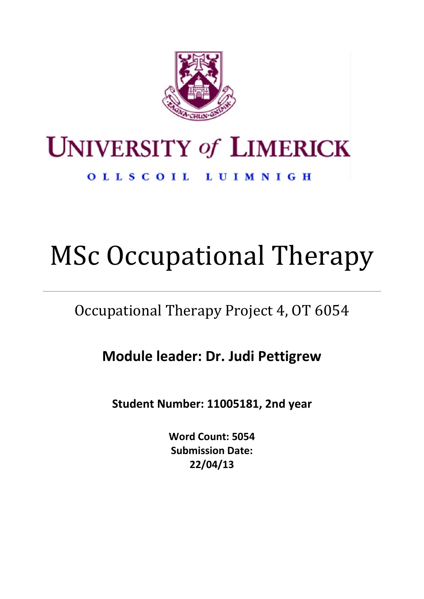

# **UNIVERSITY of LIMERICK**

OLLSCOIL LUIMNIGH

# MSc Occupational Therapy

## Occupational Therapy Project 4, OT 6054

**Module leader: Dr. Judi Pettigrew**

**Student Number: 11005181, 2nd year**

**Word Count: 5054 Submission Date: 22/04/13**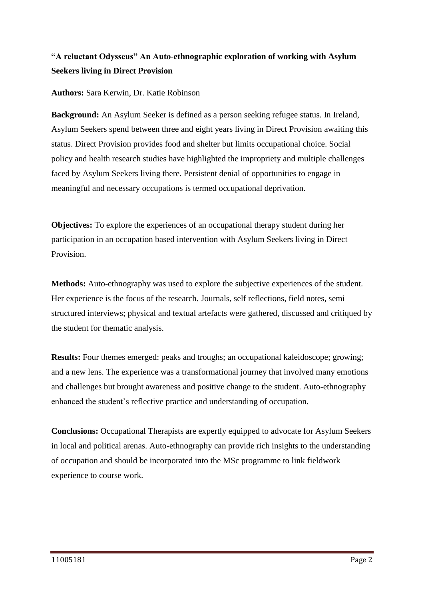## **"A reluctant Odysseus" An Auto-ethnographic exploration of working with Asylum Seekers living in Direct Provision**

**Authors:** Sara Kerwin, Dr. Katie Robinson

**Background:** An Asylum Seeker is defined as a person seeking refugee status. In Ireland, Asylum Seekers spend between three and eight years living in Direct Provision awaiting this status. Direct Provision provides food and shelter but limits occupational choice. Social policy and health research studies have highlighted the impropriety and multiple challenges faced by Asylum Seekers living there. Persistent denial of opportunities to engage in meaningful and necessary occupations is termed occupational deprivation.

**Objectives:** To explore the experiences of an occupational therapy student during her participation in an occupation based intervention with Asylum Seekers living in Direct Provision.

**Methods:** Auto-ethnography was used to explore the subjective experiences of the student. Her experience is the focus of the research. Journals, self reflections, field notes, semi structured interviews; physical and textual artefacts were gathered, discussed and critiqued by the student for thematic analysis.

**Results:** Four themes emerged: peaks and troughs; an occupational kaleidoscope; growing; and a new lens. The experience was a transformational journey that involved many emotions and challenges but brought awareness and positive change to the student. Auto-ethnography enhanced the student's reflective practice and understanding of occupation.

**Conclusions:** Occupational Therapists are expertly equipped to advocate for Asylum Seekers in local and political arenas. Auto-ethnography can provide rich insights to the understanding of occupation and should be incorporated into the MSc programme to link fieldwork experience to course work.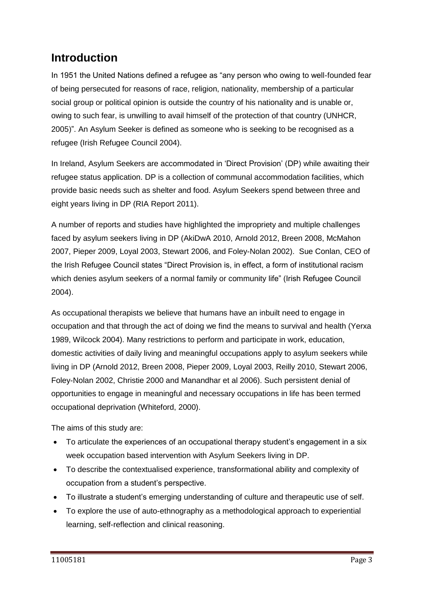## **Introduction**

In 1951 the United Nations defined a refugee as "any person who owing to well-founded fear of being persecuted for reasons of race, religion, nationality, membership of a particular social group or political opinion is outside the country of his nationality and is unable or, owing to such fear, is unwilling to avail himself of the protection of that country (UNHCR, 2005)". An Asylum Seeker is defined as someone who is seeking to be recognised as a refugee (Irish Refugee Council 2004).

In Ireland, Asylum Seekers are accommodated in 'Direct Provision' (DP) while awaiting their refugee status application. DP is a collection of communal accommodation facilities, which provide basic needs such as shelter and food. Asylum Seekers spend between three and eight years living in DP (RIA Report 2011).

A number of reports and studies have highlighted the impropriety and multiple challenges faced by asylum seekers living in DP (AkiDwA 2010, Arnold 2012, Breen 2008, McMahon 2007, Pieper 2009, Loyal 2003, Stewart 2006, and Foley-Nolan 2002). Sue Conlan, CEO of the Irish Refugee Council states "Direct Provision is, in effect, a form of institutional racism which denies asylum seekers of a normal family or community life" (Irish Refugee Council 2004).

As occupational therapists we believe that humans have an inbuilt need to engage in occupation and that through the act of doing we find the means to survival and health (Yerxa 1989, Wilcock 2004). Many restrictions to perform and participate in work, education, domestic activities of daily living and meaningful occupations apply to asylum seekers while living in DP (Arnold 2012, Breen 2008, Pieper 2009, Loyal 2003, Reilly 2010, Stewart 2006, Foley-Nolan 2002, Christie 2000 and Manandhar et al 2006). Such persistent denial of opportunities to engage in meaningful and necessary occupations in life has been termed occupational deprivation (Whiteford, 2000).

The aims of this study are:

- To articulate the experiences of an occupational therapy student's engagement in a six week occupation based intervention with Asylum Seekers living in DP.
- To describe the contextualised experience, transformational ability and complexity of occupation from a student's perspective.
- To illustrate a student's emerging understanding of culture and therapeutic use of self.
- To explore the use of auto-ethnography as a methodological approach to experiential learning, self-reflection and clinical reasoning.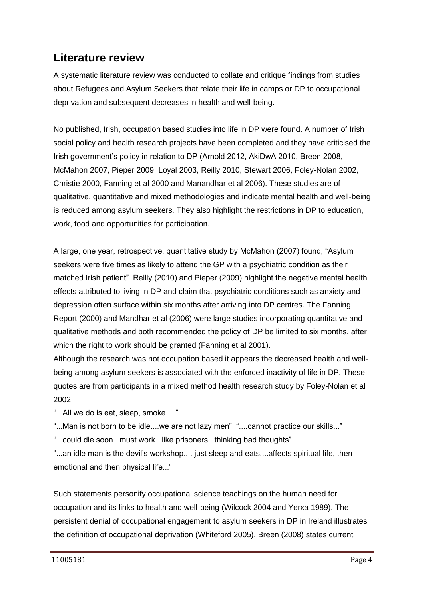## **Literature review**

A systematic literature review was conducted to collate and critique findings from studies about Refugees and Asylum Seekers that relate their life in camps or DP to occupational deprivation and subsequent decreases in health and well-being.

No published, Irish, occupation based studies into life in DP were found. A number of Irish social policy and health research projects have been completed and they have criticised the Irish government's policy in relation to DP (Arnold 2012, AkiDwA 2010, Breen 2008, McMahon 2007, Pieper 2009, Loyal 2003, Reilly 2010, Stewart 2006, Foley-Nolan 2002, Christie 2000, Fanning et al 2000 and Manandhar et al 2006). These studies are of qualitative, quantitative and mixed methodologies and indicate mental health and well-being is reduced among asylum seekers. They also highlight the restrictions in DP to education, work, food and opportunities for participation.

A large, one year, retrospective, quantitative study by McMahon (2007) found, "Asylum seekers were five times as likely to attend the GP with a psychiatric condition as their matched Irish patient". Reilly (2010) and Pieper (2009) highlight the negative mental health effects attributed to living in DP and claim that psychiatric conditions such as anxiety and depression often surface within six months after arriving into DP centres. The Fanning Report (2000) and Mandhar et al (2006) were large studies incorporating quantitative and qualitative methods and both recommended the policy of DP be limited to six months, after which the right to work should be granted (Fanning et al 2001).

Although the research was not occupation based it appears the decreased health and wellbeing among asylum seekers is associated with the enforced inactivity of life in DP. These quotes are from participants in a mixed method health research study by Foley-Nolan et al 2002:

"...All we do is eat, sleep, smoke…."

"...Man is not born to be idle....we are not lazy men", "....cannot practice our skills..."

"...could die soon...must work...like prisoners...thinking bad thoughts"

"...an idle man is the devil's workshop.... just sleep and eats....affects spiritual life, then emotional and then physical life..."

Such statements personify occupational science teachings on the human need for occupation and its links to health and well-being (Wilcock 2004 and Yerxa 1989). The persistent denial of occupational engagement to asylum seekers in DP in Ireland illustrates the definition of occupational deprivation (Whiteford 2005). Breen (2008) states current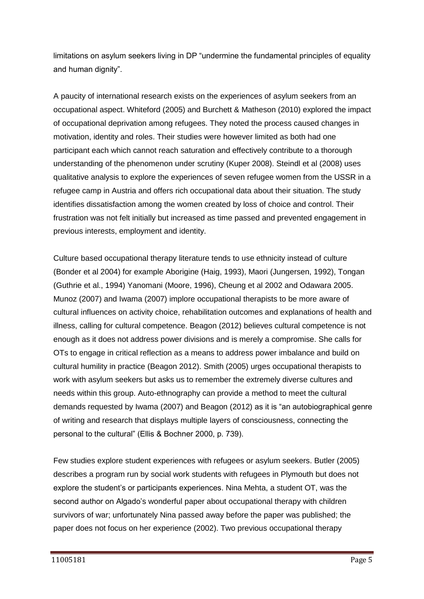limitations on asylum seekers living in DP "undermine the fundamental principles of equality and human dignity".

A paucity of international research exists on the experiences of asylum seekers from an occupational aspect. Whiteford (2005) and Burchett & Matheson (2010) explored the impact of occupational deprivation among refugees. They noted the process caused changes in motivation, identity and roles. Their studies were however limited as both had one participant each which cannot reach saturation and effectively contribute to a thorough understanding of the phenomenon under scrutiny (Kuper 2008). Steindl et al (2008) uses qualitative analysis to explore the experiences of seven refugee women from the USSR in a refugee camp in Austria and offers rich occupational data about their situation. The study identifies dissatisfaction among the women created by loss of choice and control. Their frustration was not felt initially but increased as time passed and prevented engagement in previous interests, employment and identity.

Culture based occupational therapy literature tends to use ethnicity instead of culture (Bonder et al 2004) for example Aborigine (Haig, 1993), Maori (Jungersen, 1992), Tongan (Guthrie et al., 1994) Yanomani (Moore, 1996), Cheung et al 2002 and Odawara 2005. Munoz (2007) and Iwama (2007) implore occupational therapists to be more aware of cultural influences on activity choice, rehabilitation outcomes and explanations of health and illness, calling for cultural competence. Beagon (2012) believes cultural competence is not enough as it does not address power divisions and is merely a compromise. She calls for OTs to engage in critical reflection as a means to address power imbalance and build on cultural humility in practice (Beagon 2012). Smith (2005) urges occupational therapists to work with asylum seekers but asks us to remember the extremely diverse cultures and needs within this group. Auto-ethnography can provide a method to meet the cultural demands requested by Iwama (2007) and Beagon (2012) as it is "an autobiographical genre of writing and research that displays multiple layers of consciousness, connecting the personal to the cultural" (Ellis & Bochner 2000, p. 739).

Few studies explore student experiences with refugees or asylum seekers. Butler (2005) describes a program run by social work students with refugees in Plymouth but does not explore the student's or participants experiences. Nina Mehta, a student OT, was the second author on Algado's wonderful paper about occupational therapy with children survivors of war; unfortunately Nina passed away before the paper was published; the paper does not focus on her experience (2002). Two previous occupational therapy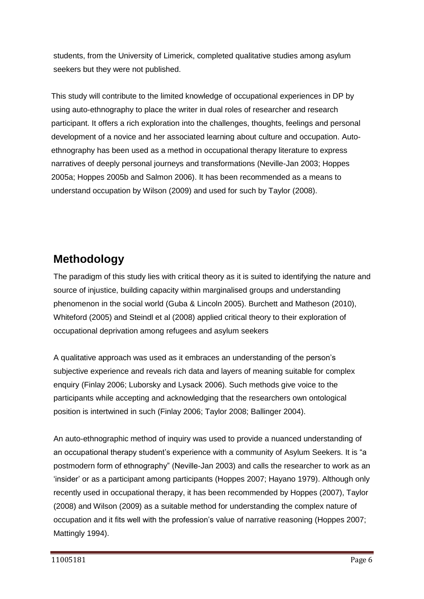students, from the University of Limerick, completed qualitative studies among asylum seekers but they were not published.

This study will contribute to the limited knowledge of occupational experiences in DP by using auto-ethnography to place the writer in dual roles of researcher and research participant. It offers a rich exploration into the challenges, thoughts, feelings and personal development of a novice and her associated learning about culture and occupation. Autoethnography has been used as a method in occupational therapy literature to express narratives of deeply personal journeys and transformations (Neville-Jan 2003; Hoppes 2005a; Hoppes 2005b and Salmon 2006). It has been recommended as a means to understand occupation by Wilson (2009) and used for such by Taylor (2008).

## **Methodology**

The paradigm of this study lies with critical theory as it is suited to identifying the nature and source of injustice, building capacity within marginalised groups and understanding phenomenon in the social world (Guba & Lincoln 2005). Burchett and Matheson (2010), Whiteford (2005) and Steindl et al (2008) applied critical theory to their exploration of occupational deprivation among refugees and asylum seekers

A qualitative approach was used as it embraces an understanding of the person's subjective experience and reveals rich data and layers of meaning suitable for complex enquiry (Finlay 2006; Luborsky and Lysack 2006). Such methods give voice to the participants while accepting and acknowledging that the researchers own ontological position is intertwined in such (Finlay 2006; Taylor 2008; Ballinger 2004).

An auto-ethnographic method of inquiry was used to provide a nuanced understanding of an occupational therapy student's experience with a community of Asylum Seekers. It is "a postmodern form of ethnography" (Neville-Jan 2003) and calls the researcher to work as an 'insider' or as a participant among participants (Hoppes 2007; Hayano 1979). Although only recently used in occupational therapy, it has been recommended by Hoppes (2007), Taylor (2008) and Wilson (2009) as a suitable method for understanding the complex nature of occupation and it fits well with the profession's value of narrative reasoning (Hoppes 2007; Mattingly 1994).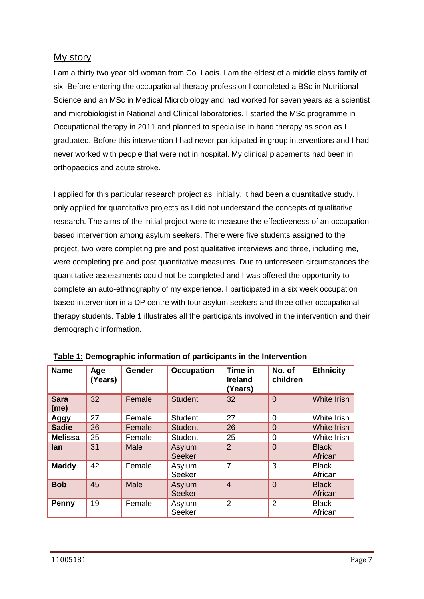## My story

I am a thirty two year old woman from Co. Laois. I am the eldest of a middle class family of six. Before entering the occupational therapy profession I completed a BSc in Nutritional Science and an MSc in Medical Microbiology and had worked for seven years as a scientist and microbiologist in National and Clinical laboratories. I started the MSc programme in Occupational therapy in 2011 and planned to specialise in hand therapy as soon as I graduated. Before this intervention I had never participated in group interventions and I had never worked with people that were not in hospital. My clinical placements had been in orthopaedics and acute stroke.

I applied for this particular research project as, initially, it had been a quantitative study. I only applied for quantitative projects as I did not understand the concepts of qualitative research. The aims of the initial project were to measure the effectiveness of an occupation based intervention among asylum seekers. There were five students assigned to the project, two were completing pre and post qualitative interviews and three, including me, were completing pre and post quantitative measures. Due to unforeseen circumstances the quantitative assessments could not be completed and I was offered the opportunity to complete an auto-ethnography of my experience. I participated in a six week occupation based intervention in a DP centre with four asylum seekers and three other occupational therapy students. Table 1 illustrates all the participants involved in the intervention and their demographic information.

| <b>Name</b>         | Age<br>(Years) | <b>Gender</b> | <b>Occupation</b>       | Time in<br><b>Ireland</b><br>(Years) | No. of<br>children | <b>Ethnicity</b>        |
|---------------------|----------------|---------------|-------------------------|--------------------------------------|--------------------|-------------------------|
| <b>Sara</b><br>(me) | 32             | Female        | <b>Student</b>          | 32                                   | $\overline{0}$     | <b>White Irish</b>      |
| Aggy                | 27             | Female        | <b>Student</b>          | 27                                   | 0                  | White Irish             |
| <b>Sadie</b>        | 26             | Female        | <b>Student</b>          | 26                                   | 0                  | <b>White Irish</b>      |
| <b>Melissa</b>      | 25             | Female        | <b>Student</b>          | 25                                   | 0                  | White Irish             |
| lan                 | 31             | Male          | Asylum<br><b>Seeker</b> | $\overline{2}$                       | $\Omega$           | <b>Black</b><br>African |
| <b>Maddy</b>        | 42             | Female        | Asylum<br>Seeker        | $\overline{7}$                       | 3                  | <b>Black</b><br>African |
| <b>Bob</b>          | 45             | Male          | Asylum<br><b>Seeker</b> | $\overline{4}$                       | $\Omega$           | <b>Black</b><br>African |
| Penny               | 19             | Female        | Asylum<br>Seeker        | $\overline{2}$                       | $\overline{2}$     | <b>Black</b><br>African |

| Table 1: Demographic information of participants in the Intervention |  |  |  |
|----------------------------------------------------------------------|--|--|--|
|                                                                      |  |  |  |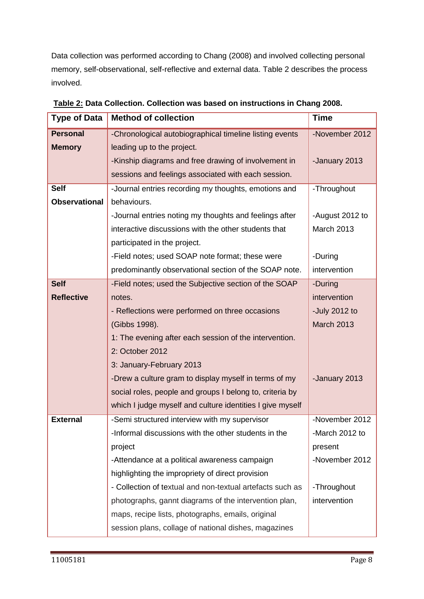Data collection was performed according to Chang (2008) and involved collecting personal memory, self-observational, self-reflective and external data. Table 2 describes the process involved.

| <b>Type of Data</b>  | <b>Method of collection</b>                               | <b>Time</b>       |
|----------------------|-----------------------------------------------------------|-------------------|
| <b>Personal</b>      | -Chronological autobiographical timeline listing events   | -November 2012    |
| <b>Memory</b>        | leading up to the project.                                |                   |
|                      | -Kinship diagrams and free drawing of involvement in      | -January 2013     |
|                      | sessions and feelings associated with each session.       |                   |
| <b>Self</b>          | -Journal entries recording my thoughts, emotions and      | -Throughout       |
| <b>Observational</b> | behaviours.                                               |                   |
|                      | -Journal entries noting my thoughts and feelings after    | -August 2012 to   |
|                      | interactive discussions with the other students that      | <b>March 2013</b> |
|                      | participated in the project.                              |                   |
|                      | -Field notes; used SOAP note format; these were           | -During           |
|                      | predominantly observational section of the SOAP note.     | intervention      |
| <b>Self</b>          | -Field notes; used the Subjective section of the SOAP     | -During           |
| <b>Reflective</b>    | notes.                                                    | intervention      |
|                      | - Reflections were performed on three occasions           | -July 2012 to     |
|                      | (Gibbs 1998).                                             | <b>March 2013</b> |
|                      | 1: The evening after each session of the intervention.    |                   |
|                      | 2: October 2012                                           |                   |
|                      | 3: January-February 2013                                  |                   |
|                      | -Drew a culture gram to display myself in terms of my     | -January 2013     |
|                      | social roles, people and groups I belong to, criteria by  |                   |
|                      | which I judge myself and culture identities I give myself |                   |
| <b>External</b>      | -Semi structured interview with my supervisor             | -November 2012    |
|                      | -Informal discussions with the other students in the      | -March 2012 to    |
|                      | project                                                   | present           |
|                      | -Attendance at a political awareness campaign             | -November 2012    |
|                      | highlighting the impropriety of direct provision          |                   |
|                      | - Collection of textual and non-textual artefacts such as | -Throughout       |
|                      | photographs, gannt diagrams of the intervention plan,     | intervention      |
|                      | maps, recipe lists, photographs, emails, original         |                   |
|                      | session plans, collage of national dishes, magazines      |                   |

**Table 2: Data Collection. Collection was based on instructions in Chang 2008.**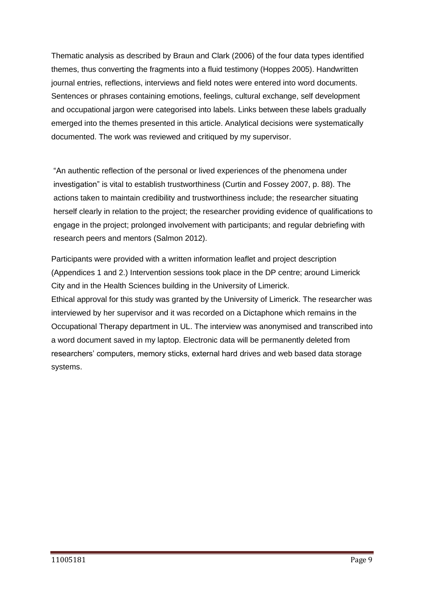Thematic analysis as described by Braun and Clark (2006) of the four data types identified themes, thus converting the fragments into a fluid testimony (Hoppes 2005). Handwritten journal entries, reflections, interviews and field notes were entered into word documents. Sentences or phrases containing emotions, feelings, cultural exchange, self development and occupational jargon were categorised into labels. Links between these labels gradually emerged into the themes presented in this article. Analytical decisions were systematically documented. The work was reviewed and critiqued by my supervisor.

"An authentic reflection of the personal or lived experiences of the phenomena under investigation" is vital to establish trustworthiness (Curtin and Fossey 2007, p. 88). The actions taken to maintain credibility and trustworthiness include; the researcher situating herself clearly in relation to the project; the researcher providing evidence of qualifications to engage in the project; prolonged involvement with participants; and regular debriefing with research peers and mentors (Salmon 2012).

Participants were provided with a written information leaflet and project description (Appendices 1 and 2.) Intervention sessions took place in the DP centre; around Limerick City and in the Health Sciences building in the University of Limerick. Ethical approval for this study was granted by the University of Limerick. The researcher was interviewed by her supervisor and it was recorded on a Dictaphone which remains in the Occupational Therapy department in UL. The interview was anonymised and transcribed into a word document saved in my laptop. Electronic data will be permanently deleted from researchers' computers, memory sticks, external hard drives and web based data storage systems.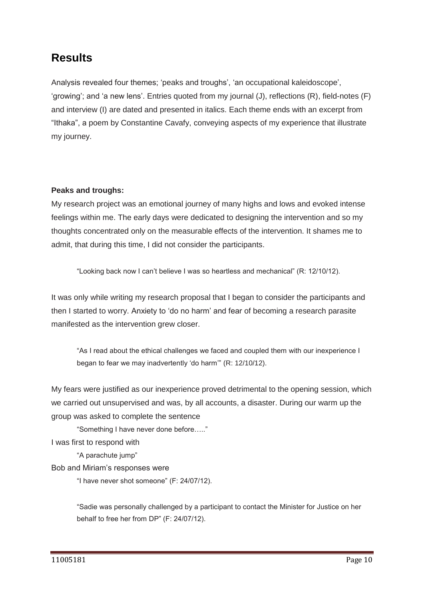## **Results**

Analysis revealed four themes; 'peaks and troughs', 'an occupational kaleidoscope', 'growing'; and 'a new lens'. Entries quoted from my journal (J), reflections (R), field-notes (F) and interview (I) are dated and presented in italics. Each theme ends with an excerpt from "Ithaka", a poem by Constantine Cavafy, conveying aspects of my experience that illustrate my journey.

#### **Peaks and troughs:**

My research project was an emotional journey of many highs and lows and evoked intense feelings within me. The early days were dedicated to designing the intervention and so my thoughts concentrated only on the measurable effects of the intervention. It shames me to admit, that during this time, I did not consider the participants.

"Looking back now I can't believe I was so heartless and mechanical" (R: 12/10/12).

It was only while writing my research proposal that I began to consider the participants and then I started to worry. Anxiety to 'do no harm' and fear of becoming a research parasite manifested as the intervention grew closer.

"As I read about the ethical challenges we faced and coupled them with our inexperience I began to fear we may inadvertently 'do harm'" (R: 12/10/12).

My fears were justified as our inexperience proved detrimental to the opening session, which we carried out unsupervised and was, by all accounts, a disaster. During our warm up the group was asked to complete the sentence

"Something I have never done before….." I was first to respond with

"A parachute jump"

Bob and Miriam's responses were

"I have never shot someone" (F: 24/07/12).

"Sadie was personally challenged by a participant to contact the Minister for Justice on her behalf to free her from DP" (F: 24/07/12).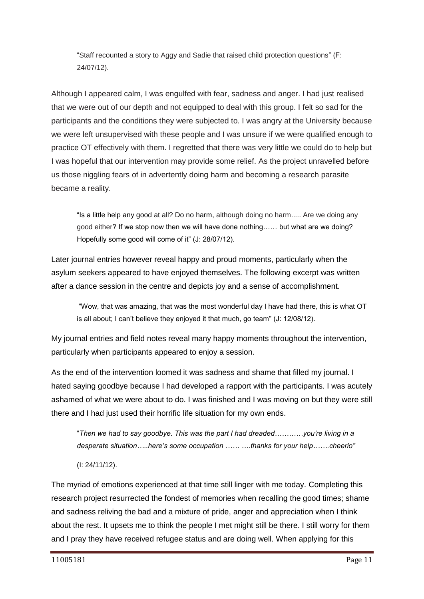"Staff recounted a story to Aggy and Sadie that raised child protection questions" (F: 24/07/12).

Although I appeared calm, I was engulfed with fear, sadness and anger. I had just realised that we were out of our depth and not equipped to deal with this group. I felt so sad for the participants and the conditions they were subjected to. I was angry at the University because we were left unsupervised with these people and I was unsure if we were qualified enough to practice OT effectively with them. I regretted that there was very little we could do to help but I was hopeful that our intervention may provide some relief. As the project unravelled before us those niggling fears of in advertently doing harm and becoming a research parasite became a reality.

"Is a little help any good at all? Do no harm, although doing no harm..... Are we doing any good either? If we stop now then we will have done nothing…… but what are we doing? Hopefully some good will come of it" (J: 28/07/12).

Later journal entries however reveal happy and proud moments, particularly when the asylum seekers appeared to have enjoyed themselves. The following excerpt was written after a dance session in the centre and depicts joy and a sense of accomplishment.

"Wow, that was amazing, that was the most wonderful day I have had there, this is what OT is all about; I can't believe they enjoyed it that much, go team" (J: 12/08/12).

My journal entries and field notes reveal many happy moments throughout the intervention, particularly when participants appeared to enjoy a session.

As the end of the intervention loomed it was sadness and shame that filled my journal. I hated saying goodbye because I had developed a rapport with the participants. I was acutely ashamed of what we were about to do. I was finished and I was moving on but they were still there and I had just used their horrific life situation for my own ends.

"*Then we had to say goodbye. This was the part I had dreaded…………you're living in a desperate situation…..here's some occupation …… ….thanks for your help…….cheerio"*

(I: 24/11/12).

The myriad of emotions experienced at that time still linger with me today. Completing this research project resurrected the fondest of memories when recalling the good times; shame and sadness reliving the bad and a mixture of pride, anger and appreciation when I think about the rest. It upsets me to think the people I met might still be there. I still worry for them and I pray they have received refugee status and are doing well. When applying for this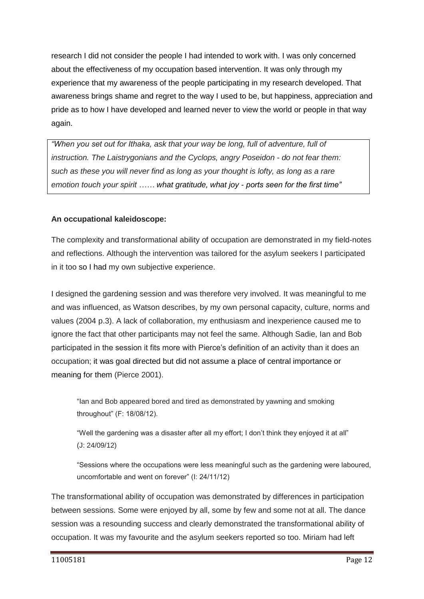research I did not consider the people I had intended to work with. I was only concerned about the effectiveness of my occupation based intervention. It was only through my experience that my awareness of the people participating in my research developed. That awareness brings shame and regret to the way I used to be, but happiness, appreciation and pride as to how I have developed and learned never to view the world or people in that way again.

*"When you set out for Ithaka, ask that your way be long, full of adventure, full of instruction. The Laistrygonians and the Cyclops, angry Poseidon - do not fear them: such as these you will never find as long as your thought is lofty, as long as a rare emotion touch your spirit …… what gratitude, what joy - ports seen for the first time"*

#### **An occupational kaleidoscope:**

The complexity and transformational ability of occupation are demonstrated in my field-notes and reflections. Although the intervention was tailored for the asylum seekers I participated in it too so I had my own subjective experience.

I designed the gardening session and was therefore very involved. It was meaningful to me and was influenced, as Watson describes, by my own personal capacity, culture, norms and values (2004 p.3). A lack of collaboration, my enthusiasm and inexperience caused me to ignore the fact that other participants may not feel the same. Although Sadie, Ian and Bob participated in the session it fits more with Pierce's definition of an activity than it does an occupation; it was goal directed but did not assume a place of central importance or meaning for them (Pierce 2001).

"Ian and Bob appeared bored and tired as demonstrated by yawning and smoking throughout" (F: 18/08/12).

"Well the gardening was a disaster after all my effort; I don't think they enjoyed it at all" (J: 24/09/12)

"Sessions where the occupations were less meaningful such as the gardening were laboured, uncomfortable and went on forever" (I: 24/11/12)

The transformational ability of occupation was demonstrated by differences in participation between sessions. Some were enjoyed by all, some by few and some not at all. The dance session was a resounding success and clearly demonstrated the transformational ability of occupation. It was my favourite and the asylum seekers reported so too. Miriam had left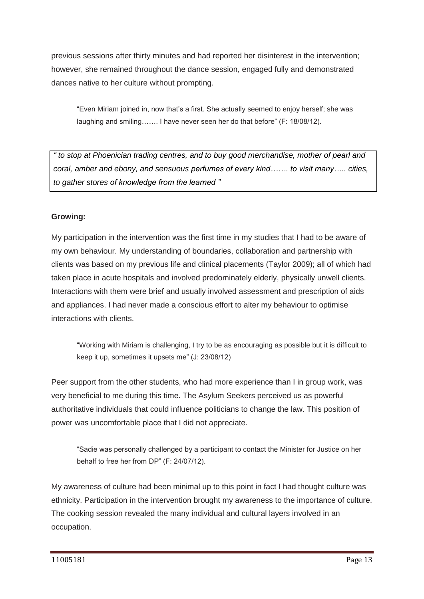previous sessions after thirty minutes and had reported her disinterest in the intervention; however, she remained throughout the dance session, engaged fully and demonstrated dances native to her culture without prompting.

"Even Miriam joined in, now that's a first. She actually seemed to enjoy herself; she was laughing and smiling……. I have never seen her do that before" (F: 18/08/12).

*" to stop at Phoenician trading centres, and to buy good merchandise, mother of pearl and coral, amber and ebony, and sensuous perfumes of every kind……. to visit many….. cities, to gather stores of knowledge from the learned "*

#### **Growing:**

My participation in the intervention was the first time in my studies that I had to be aware of my own behaviour. My understanding of boundaries, collaboration and partnership with clients was based on my previous life and clinical placements (Taylor 2009); all of which had taken place in acute hospitals and involved predominately elderly, physically unwell clients. Interactions with them were brief and usually involved assessment and prescription of aids and appliances. I had never made a conscious effort to alter my behaviour to optimise interactions with clients.

"Working with Miriam is challenging, I try to be as encouraging as possible but it is difficult to keep it up, sometimes it upsets me" (J: 23/08/12)

Peer support from the other students, who had more experience than I in group work, was very beneficial to me during this time. The Asylum Seekers perceived us as powerful authoritative individuals that could influence politicians to change the law. This position of power was uncomfortable place that I did not appreciate.

"Sadie was personally challenged by a participant to contact the Minister for Justice on her behalf to free her from DP" (F: 24/07/12).

My awareness of culture had been minimal up to this point in fact I had thought culture was ethnicity. Participation in the intervention brought my awareness to the importance of culture. The cooking session revealed the many individual and cultural layers involved in an occupation.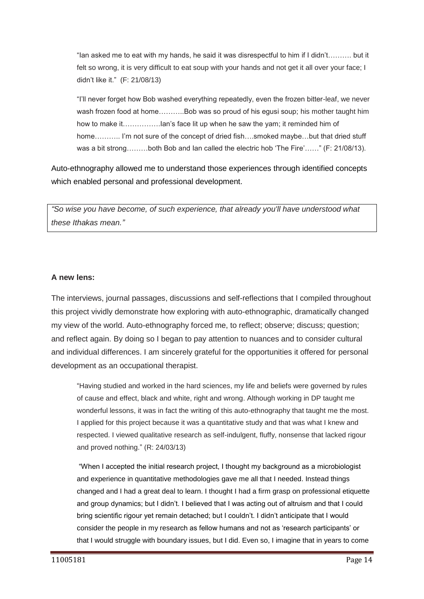"Ian asked me to eat with my hands, he said it was disrespectful to him if I didn't………. but it felt so wrong, it is very difficult to eat soup with your hands and not get it all over your face; I didn't like it." (F: 21/08/13)

"I'll never forget how Bob washed everything repeatedly, even the frozen bitter-leaf, we never wash frozen food at home………..Bob was so proud of his egusi soup; his mother taught him how to make it…………….Ian's face lit up when he saw the yam; it reminded him of home……….. I'm not sure of the concept of dried fish….smoked maybe…but that dried stuff was a bit strong………both Bob and Ian called the electric hob 'The Fire'……" (F: 21/08/13).

Auto-ethnography allowed me to understand those experiences through identified concepts which enabled personal and professional development.

*"So wise you have become, of such experience, that already you'll have understood what these Ithakas mean."*

#### **A new lens:**

The interviews, journal passages, discussions and self-reflections that I compiled throughout this project vividly demonstrate how exploring with auto-ethnographic, dramatically changed my view of the world. Auto-ethnography forced me, to reflect; observe; discuss; question; and reflect again. By doing so I began to pay attention to nuances and to consider cultural and individual differences. I am sincerely grateful for the opportunities it offered for personal development as an occupational therapist.

"Having studied and worked in the hard sciences, my life and beliefs were governed by rules of cause and effect, black and white, right and wrong. Although working in DP taught me wonderful lessons, it was in fact the writing of this auto-ethnography that taught me the most. I applied for this project because it was a quantitative study and that was what I knew and respected. I viewed qualitative research as self-indulgent, fluffy, nonsense that lacked rigour and proved nothing." (R: 24/03/13)

"When I accepted the initial research project, I thought my background as a microbiologist and experience in quantitative methodologies gave me all that I needed. Instead things changed and I had a great deal to learn. I thought I had a firm grasp on professional etiquette and group dynamics; but I didn't. I believed that I was acting out of altruism and that I could bring scientific rigour yet remain detached; but I couldn't. I didn't anticipate that I would consider the people in my research as fellow humans and not as 'research participants' or that I would struggle with boundary issues, but I did. Even so, I imagine that in years to come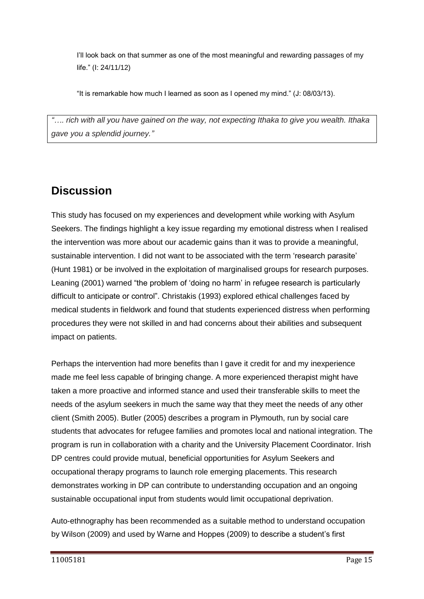I'll look back on that summer as one of the most meaningful and rewarding passages of my life." (I: 24/11/12)

"It is remarkable how much I learned as soon as I opened my mind." (J: 08/03/13).

*"…. rich with all you have gained on the way, not expecting Ithaka to give you wealth. Ithaka gave you a splendid journey."*

## **Discussion**

This study has focused on my experiences and development while working with Asylum Seekers. The findings highlight a key issue regarding my emotional distress when I realised the intervention was more about our academic gains than it was to provide a meaningful, sustainable intervention. I did not want to be associated with the term 'research parasite' (Hunt 1981) or be involved in the exploitation of marginalised groups for research purposes. Leaning (2001) warned "the problem of 'doing no harm' in refugee research is particularly difficult to anticipate or control". Christakis (1993) explored ethical challenges faced by medical students in fieldwork and found that students experienced distress when performing procedures they were not skilled in and had concerns about their abilities and subsequent impact on patients.

Perhaps the intervention had more benefits than I gave it credit for and my inexperience made me feel less capable of bringing change. A more experienced therapist might have taken a more proactive and informed stance and used their transferable skills to meet the needs of the asylum seekers in much the same way that they meet the needs of any other client (Smith 2005). Butler (2005) describes a program in Plymouth, run by social care students that advocates for refugee families and promotes local and national integration. The program is run in collaboration with a charity and the University Placement Coordinator. Irish DP centres could provide mutual, beneficial opportunities for Asylum Seekers and occupational therapy programs to launch role emerging placements. This research demonstrates working in DP can contribute to understanding occupation and an ongoing sustainable occupational input from students would limit occupational deprivation.

Auto-ethnography has been recommended as a suitable method to understand occupation by Wilson (2009) and used by Warne and Hoppes (2009) to describe a student's first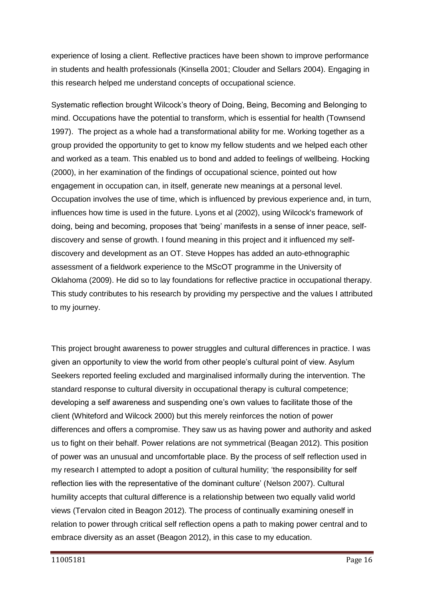experience of losing a client. Reflective practices have been shown to improve performance in students and health professionals (Kinsella 2001; Clouder and Sellars 2004). Engaging in this research helped me understand concepts of occupational science.

Systematic reflection brought Wilcock's theory of Doing, Being, Becoming and Belonging to mind. Occupations have the potential to transform, which is essential for health (Townsend 1997). The project as a whole had a transformational ability for me. Working together as a group provided the opportunity to get to know my fellow students and we helped each other and worked as a team. This enabled us to bond and added to feelings of wellbeing. Hocking (2000), in her examination of the findings of occupational science, pointed out how engagement in occupation can, in itself, generate new meanings at a personal level. Occupation involves the use of time, which is influenced by previous experience and, in turn, influences how time is used in the future. Lyons et al (2002), using Wilcock's framework of doing, being and becoming, proposes that 'being' manifests in a sense of inner peace, selfdiscovery and sense of growth. I found meaning in this project and it influenced my selfdiscovery and development as an OT. Steve Hoppes has added an auto-ethnographic assessment of a fieldwork experience to the MScOT programme in the University of Oklahoma (2009). He did so to lay foundations for reflective practice in occupational therapy. This study contributes to his research by providing my perspective and the values I attributed to my journey.

This project brought awareness to power struggles and cultural differences in practice. I was given an opportunity to view the world from other people's cultural point of view. Asylum Seekers reported feeling excluded and marginalised informally during the intervention. The standard response to cultural diversity in occupational therapy is cultural competence; developing a self awareness and suspending one's own values to facilitate those of the client (Whiteford and Wilcock 2000) but this merely reinforces the notion of power differences and offers a compromise. They saw us as having power and authority and asked us to fight on their behalf. Power relations are not symmetrical (Beagan 2012). This position of power was an unusual and uncomfortable place. By the process of self reflection used in my research I attempted to adopt a position of cultural humility; 'the responsibility for self reflection lies with the representative of the dominant culture' (Nelson 2007). Cultural humility accepts that cultural difference is a relationship between two equally valid world views (Tervalon cited in Beagon 2012). The process of continually examining oneself in relation to power through critical self reflection opens a path to making power central and to embrace diversity as an asset (Beagon 2012), in this case to my education.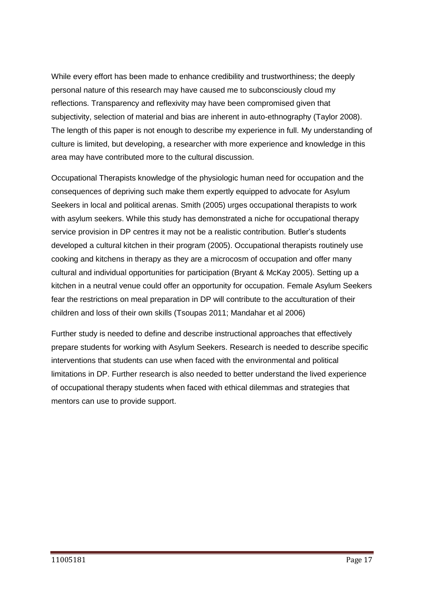While every effort has been made to enhance credibility and trustworthiness; the deeply personal nature of this research may have caused me to subconsciously cloud my reflections. Transparency and reflexivity may have been compromised given that subjectivity, selection of material and bias are inherent in auto-ethnography (Taylor 2008). The length of this paper is not enough to describe my experience in full. My understanding of culture is limited, but developing, a researcher with more experience and knowledge in this area may have contributed more to the cultural discussion.

Occupational Therapists knowledge of the physiologic human need for occupation and the consequences of depriving such make them expertly equipped to advocate for Asylum Seekers in local and political arenas. Smith (2005) urges occupational therapists to work with asylum seekers. While this study has demonstrated a niche for occupational therapy service provision in DP centres it may not be a realistic contribution. Butler's students developed a cultural kitchen in their program (2005). Occupational therapists routinely use cooking and kitchens in therapy as they are a microcosm of occupation and offer many cultural and individual opportunities for participation (Bryant & McKay 2005). Setting up a kitchen in a neutral venue could offer an opportunity for occupation. Female Asylum Seekers fear the restrictions on meal preparation in DP will contribute to the acculturation of their children and loss of their own skills (Tsoupas 2011; Mandahar et al 2006)

Further study is needed to define and describe instructional approaches that effectively prepare students for working with Asylum Seekers. Research is needed to describe specific interventions that students can use when faced with the environmental and political limitations in DP. Further research is also needed to better understand the lived experience of occupational therapy students when faced with ethical dilemmas and strategies that mentors can use to provide support.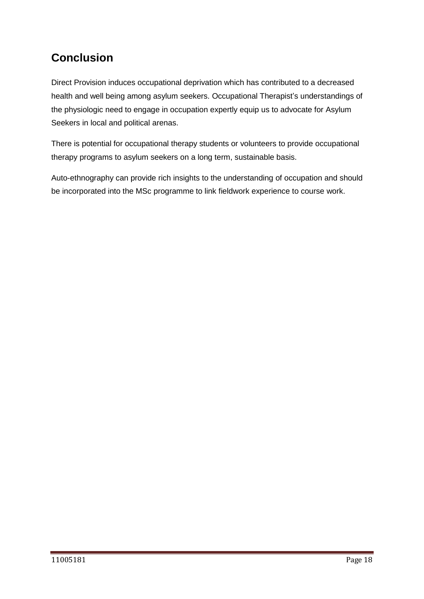## **Conclusion**

Direct Provision induces occupational deprivation which has contributed to a decreased health and well being among asylum seekers. Occupational Therapist's understandings of the physiologic need to engage in occupation expertly equip us to advocate for Asylum Seekers in local and political arenas.

There is potential for occupational therapy students or volunteers to provide occupational therapy programs to asylum seekers on a long term, sustainable basis.

Auto-ethnography can provide rich insights to the understanding of occupation and should be incorporated into the MSc programme to link fieldwork experience to course work.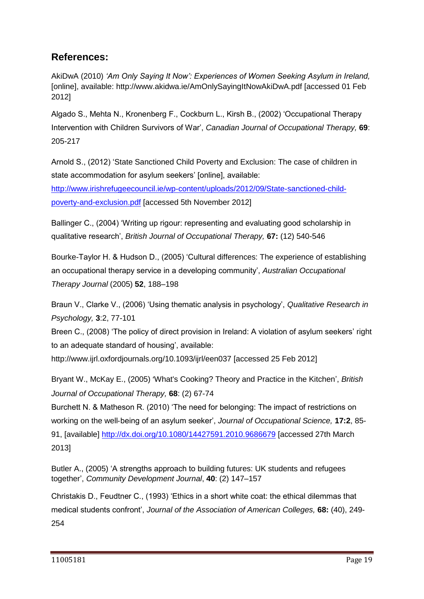## **References:**

AkiDwA (2010) *'Am Only Saying It Now': Experiences of Women Seeking Asylum in Ireland,*  [online], available: http://www.akidwa.ie/AmOnlySayingItNowAkiDwA.pdf [accessed 01 Feb 2012]

Algado S., Mehta N., Kronenberg F., Cockburn L., Kirsh B., (2002) 'Occupational Therapy Intervention with Children Survivors of War', *Canadian Journal of Occupational Therapy,* **69**: 205-217

Arnold S., (2012) 'State Sanctioned Child Poverty and Exclusion: The case of children in state accommodation for asylum seekers' [online], available: [http://www.irishrefugeecouncil.ie/wp-content/uploads/2012/09/State-sanctioned-child](http://www.irishrefugeecouncil.ie/wp-content/uploads/2012/09/State-sanctioned-child-poverty-and-exclusion.pdf)[poverty-and-exclusion.pdf](http://www.irishrefugeecouncil.ie/wp-content/uploads/2012/09/State-sanctioned-child-poverty-and-exclusion.pdf) [accessed 5th November 2012]

Ballinger C., (2004) 'Writing up rigour: representing and evaluating good scholarship in qualitative research', *British Journal of Occupational Therapy,* **67:** (12) 540-546

Bourke-Taylor H. & Hudson D., (2005) 'Cultural differences: The experience of establishing an occupational therapy service in a developing community', *Australian Occupational Therapy Journal* (2005) **52**, 188–198

Braun V., Clarke V., (2006) 'Using thematic analysis in psychology', *Qualitative Research in Psychology,* **3**:2, 77-101

Breen C., (2008) 'The policy of direct provision in Ireland: A violation of asylum seekers' right to an adequate standard of housing', available:

http://www.ijrl.oxfordjournals.org/10.1093/ijrl/een037 [accessed 25 Feb 2012]

Bryant W., McKay E., (2005) 'What's Cooking? Theory and Practice in the Kitchen', *British Journal of Occupational Therapy,* **68**: (2) 67-74

Burchett N. & Matheson R. (2010) 'The need for belonging: The impact of restrictions on working on the well‐being of an asylum seeker', *Journal of Occupational Science,* **17:2**, 85- 91, [available] <http://dx.doi.org/10.1080/14427591.2010.9686679> [accessed 27th March 2013]

Butler A., (2005) 'A strengths approach to building futures: UK students and refugees together', *Community Development Journal*, **40**: (2) 147–157

Christakis D., Feudtner C., (1993) 'Ethics in a short white coat: the ethical dilemmas that medical students confront', *Journal of the Association of American Colleges,* **68:** (40), 249- 254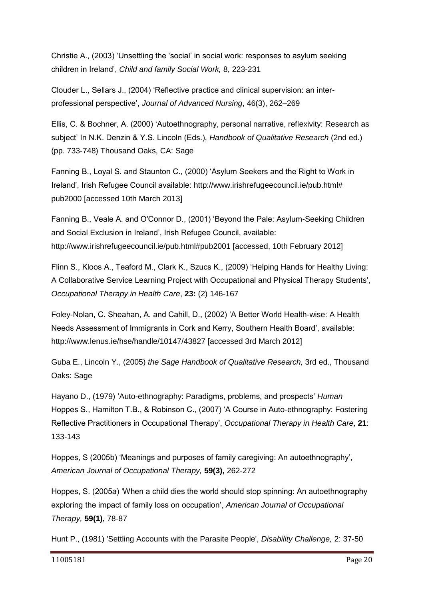Christie A., (2003) 'Unsettling the 'social' in social work: responses to asylum seeking children in Ireland', *Child and family Social Work,* 8, 223-231

Clouder L., Sellars J., (2004) 'Reflective practice and clinical supervision: an interprofessional perspective', *Journal of Advanced Nursing*, 46(3), 262–269

Ellis, C. & Bochner, A. (2000) 'Autoethnography, personal narrative, reflexivity: Research as subject' In N.K. Denzin & Y.S. Lincoln (Eds.), *Handbook of Qualitative Research* (2nd ed.) (pp. 733-748) Thousand Oaks, CA: Sage

Fanning B., Loyal S. and Staunton C., (2000) 'Asylum Seekers and the Right to Work in Ireland', Irish Refugee Council available: http://www.irishrefugeecouncil.ie/pub.html# pub2000 [accessed 10th March 2013]

Fanning B., Veale A. and O'Connor D., (2001) 'Beyond the Pale: Asylum-Seeking Children and Social Exclusion in Ireland', Irish Refugee Council, available: http://www.irishrefugeecouncil.ie/pub.html#pub2001 [accessed, 10th February 2012]

Flinn S., Kloos A., Teaford M., Clark K., Szucs K., (2009) 'Helping Hands for Healthy Living: A Collaborative Service Learning Project with Occupational and Physical Therapy Students', *Occupational Therapy in Health Care*, **23:** (2) 146-167

Foley-Nolan, C. Sheahan, A. and Cahill, D., (2002) 'A Better World Health-wise: A Health Needs Assessment of Immigrants in Cork and Kerry, Southern Health Board', available: http://www.lenus.ie/hse/handle/10147/43827 [accessed 3rd March 2012]

Guba E., Lincoln Y., (2005) *the Sage Handbook of Qualitative Research,* 3rd ed., Thousand Oaks: Sage

Hayano D., (1979) 'Auto-ethnography: Paradigms, problems, and prospects' *Human* Hoppes S., Hamilton T.B., & Robinson C., (2007) 'A Course in Auto-ethnography: Fostering Reflective Practitioners in Occupational Therapy', *Occupational Therapy in Health Care*, **21**: 133-143

Hoppes, S (2005b) 'Meanings and purposes of family caregiving: An autoethnography', *American Journal of Occupational Therapy,* **59(3),** 262-272

Hoppes, S. (2005a) 'When a child dies the world should stop spinning: An autoethnography exploring the impact of family loss on occupation', *American Journal of Occupational Therapy,* **59(1),** 78-87

Hunt P., (1981) 'Settling Accounts with the Parasite People', *Disability Challenge,* 2: 37-50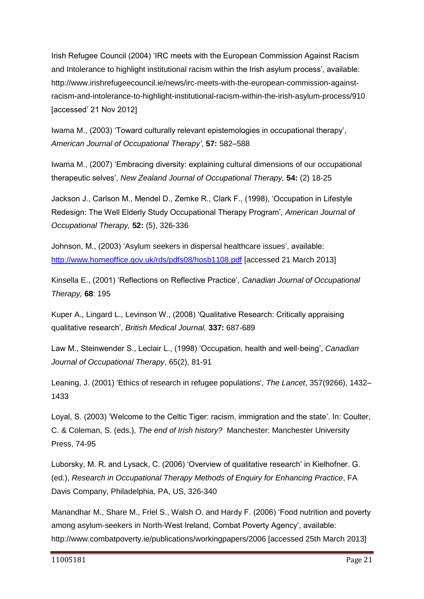Irish Refugee Council (2004) 'IRC meets with the European Commission Against Racism and Intolerance to highlight institutional racism within the Irish asylum process', available: http://www.irishrefugeecouncil.ie/news/irc-meets-with-the-european-commission-againstracism-and-intolerance-to-highlight-institutional-racism-within-the-irish-asylum-process/910 [accessed' 21 Nov 2012]

Iwama M., (2003) 'Toward culturally relevant epistemologies in occupational therapy', *American Journal of Occupational Therapy'*, **57:** 582–588

Iwama M., (2007) 'Embracing diversity: explaining cultural dimensions of our occupational therapeutic selves', *New Zealand Journal of Occupational Therapy,* **54:** (2) 18-25

Jackson J., Carlson M., Mendel D., Zemke R., Clark F., (1998), 'Occupation in Lifestyle Redesign: The Well Elderly Study Occupational Therapy Program', *American Journal of Occupational Therapy,* **52:** (5), 326-336

Johnson, M., (2003) 'Asylum seekers in dispersal healthcare issues', available: <http://www.homeoffice.gov.uk/rds/pdfs08/hosb1108.pdf> [accessed 21 March 2013]

Kinsella E., (2001) 'Reflections on Reflective Practice', *Canadian Journal of Occupational Therapy,* **68**: 195

Kuper A., Lingard L., Levinson W., (2008) 'Qualitative Research: Critically appraising qualitative research', *British Medical Journal,* **337:** 687-689

Law M., Steinwender S., Leclair L., (1998) 'Occupation, health and well-being', *Canadian Journal of Occupational Therapy*, 65(2), 81-91

Leaning, J. (2001) 'Ethics of research in refugee populations', *The Lancet*, 357(9266), 1432– 1433

Loyal, S. (2003) 'Welcome to the Celtic Tiger: racism, immigration and the state'. In: Coulter, C. & Coleman, S. (eds.), *The end of Irish history?* Manchester: Manchester University Press, 74-95

Luborsky, M. R. and Lysack, C. (2006) 'Overview of qualitative research' in Kielhofner. G. (ed.), *Research in Occupational Therapy Methods of Enquiry for Enhancing Practice*, FA Davis Company, Philadelphia, PA, US, 326-340

Manandhar M., Share M., Friel S., Walsh O. and Hardy F. (2006) 'Food nutrition and poverty among asylum-seekers in North-West Ireland, Combat Poverty Agency', available: http://www.combatpoverty.ie/publications/workingpapers/2006 [accessed 25th March 2013]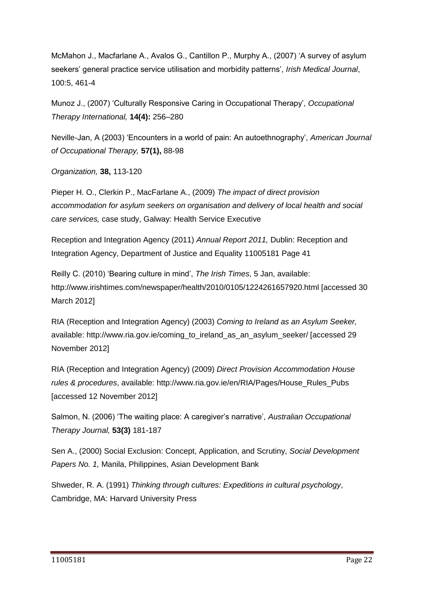McMahon J., Macfarlane A., Avalos G., Cantillon P., Murphy A., (2007) 'A survey of asylum seekers' general practice service utilisation and morbidity patterns', *Irish Medical Journal*, 100:5, 461-4

Munoz J., (2007) 'Culturally Responsive Caring in Occupational Therapy', *Occupational Therapy International,* **14(4):** 256–280

Neville-Jan, A (2003) 'Encounters in a world of pain: An autoethnography', *American Journal of Occupational Therapy,* **57(1),** 88-98

*Organization,* **38,** 113-120

Pieper H. O., Clerkin P., MacFarlane A., (2009) *The impact of direct provision accommodation for asylum seekers on organisation and delivery of local health and social care services,* case study, Galway: Health Service Executive

Reception and Integration Agency (2011) *Annual Report 2011,* Dublin: Reception and Integration Agency, Department of Justice and Equality 11005181 Page 41

Reilly C. (2010) 'Bearing culture in mind', *The Irish Times*, 5 Jan, available: http://www.irishtimes.com/newspaper/health/2010/0105/1224261657920.html [accessed 30 March 2012]

RIA (Reception and Integration Agency) (2003) *Coming to Ireland as an Asylum Seeker,*  available: http://www.ria.gov.ie/coming\_to\_ireland\_as\_an\_asylum\_seeker/ [accessed 29 November 2012]

RIA (Reception and Integration Agency) (2009) *Direct Provision Accommodation House rules & procedures*, available: http://www.ria.gov.ie/en/RIA/Pages/House\_Rules\_Pubs [accessed 12 November 2012]

Salmon, N. (2006) 'The waiting place: A caregiver's narrative', *Australian Occupational Therapy Journal,* **53(3)** 181-187

Sen A., (2000) Social Exclusion: Concept, Application, and Scrutiny, *Social Development Papers No. 1,* Manila, Philippines, Asian Development Bank

Shweder, R. A. (1991) *Thinking through cultures: Expeditions in cultural psychology*, Cambridge, MA: Harvard University Press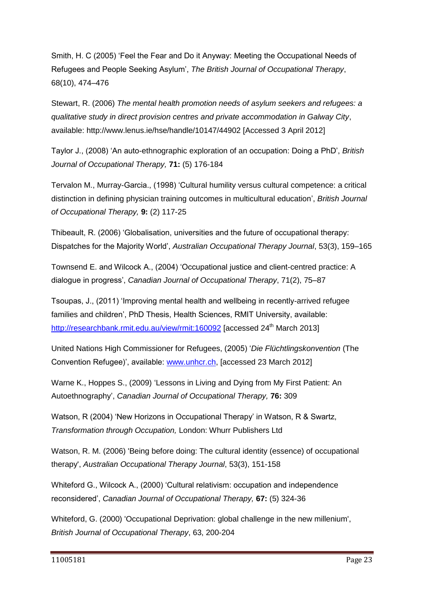Smith, H. C (2005) 'Feel the Fear and Do it Anyway: Meeting the Occupational Needs of Refugees and People Seeking Asylum', *The British Journal of Occupational Therapy*, 68(10), 474–476

Stewart, R. (2006) *The mental health promotion needs of asylum seekers and refugees: a qualitative study in direct provision centres and private accommodation in Galway City*, available: http://www.lenus.ie/hse/handle/10147/44902 [Accessed 3 April 2012]

Taylor J., (2008) 'An auto-ethnographic exploration of an occupation: Doing a PhD', *British Journal of Occupational Therapy,* **71:** (5) 176-184

Tervalon M., Murray-Garcia., (1998) 'Cultural humility versus cultural competence: a critical distinction in defining physician training outcomes in multicultural education', *British Journal of Occupational Therapy,* **9:** (2) 117-25

Thibeault, R. (2006) 'Globalisation, universities and the future of occupational therapy: Dispatches for the Majority World', *Australian Occupational Therapy Journal*, 53(3), 159–165

Townsend E. and Wilcock A., (2004) 'Occupational justice and client-centred practice: A dialogue in progress', *Canadian Journal of Occupational Therapy*, 71(2), 75–87

Tsoupas, J., (2011) 'Improving mental health and wellbeing in recently-arrived refugee families and children', PhD Thesis, Health Sciences, RMIT University, available: <http://researchbank.rmit.edu.au/view/rmit:160092> [accessed 24<sup>th</sup> March 2013]

United Nations High Commissioner for Refugees, (2005) '*Die Flüchtlingskonvention* (The Convention Refugee)', available: [www.unhcr.ch,](http://www.unhcr.ch/) [accessed 23 March 2012]

Warne K., Hoppes S., (2009) 'Lessons in Living and Dying from My First Patient: An Autoethnography', *Canadian Journal of Occupational Therapy,* **76:** 309

Watson, R (2004) 'New Horizons in Occupational Therapy' in Watson, R & Swartz, *Transformation through Occupation,* London: Whurr Publishers Ltd

Watson, R. M. (2006) 'Being before doing: The cultural identity (essence) of occupational therapy', *Australian Occupational Therapy Journal*, 53(3), 151-158

Whiteford G., Wilcock A., (2000) 'Cultural relativism: occupation and independence reconsidered', *Canadian Journal of Occupational Therapy,* **67:** (5) 324-36

Whiteford, G. (2000) 'Occupational Deprivation: global challenge in the new millenium', *British Journal of Occupational Therapy*, 63, 200-204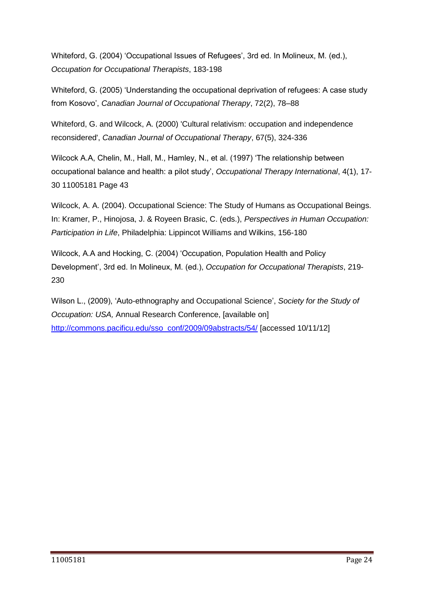Whiteford, G. (2004) 'Occupational Issues of Refugees', 3rd ed. In Molineux, M. (ed.), *Occupation for Occupational Therapists*, 183-198

Whiteford, G. (2005) 'Understanding the occupational deprivation of refugees: A case study from Kosovo', *Canadian Journal of Occupational Therapy*, 72(2), 78–88

Whiteford, G. and Wilcock, A. (2000) 'Cultural relativism: occupation and independence reconsidered', *Canadian Journal of Occupational Therapy*, 67(5), 324-336

Wilcock A.A, Chelin, M., Hall, M., Hamley, N., et al. (1997) 'The relationship between occupational balance and health: a pilot study', *Occupational Therapy International*, 4(1), 17- 30 11005181 Page 43

Wilcock, A. A. (2004). Occupational Science: The Study of Humans as Occupational Beings. In: Kramer, P., Hinojosa, J. & Royeen Brasic, C. (eds.), *Perspectives in Human Occupation: Participation in Life*, Philadelphia: Lippincot Williams and Wilkins, 156-180

Wilcock, A.A and Hocking, C. (2004) 'Occupation, Population Health and Policy Development', 3rd ed. In Molineux, M. (ed.), *Occupation for Occupational Therapists*, 219- 230

Wilson L., (2009), 'Auto-ethnography and Occupational Science', *Society for the Study of Occupation: USA,* Annual Research Conference, [available on] [http://commons.pacificu.edu/sso\\_conf/2009/09abstracts/54/](http://commons.pacificu.edu/sso_conf/2009/09abstracts/54/) [accessed 10/11/12]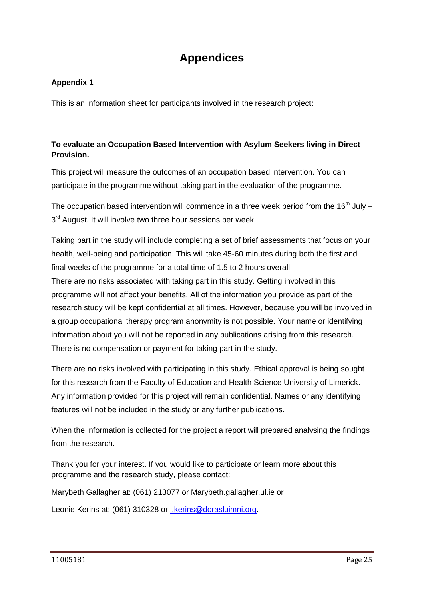## **Appendices**

#### **Appendix 1**

This is an information sheet for participants involved in the research project:

#### **To evaluate an Occupation Based Intervention with Asylum Seekers living in Direct Provision.**

This project will measure the outcomes of an occupation based intervention. You can participate in the programme without taking part in the evaluation of the programme.

The occupation based intervention will commence in a three week period from the 16<sup>th</sup> July – 3<sup>rd</sup> August. It will involve two three hour sessions per week.

Taking part in the study will include completing a set of brief assessments that focus on your health, well-being and participation. This will take 45-60 minutes during both the first and final weeks of the programme for a total time of 1.5 to 2 hours overall.

There are no risks associated with taking part in this study. Getting involved in this programme will not affect your benefits. All of the information you provide as part of the research study will be kept confidential at all times. However, because you will be involved in a group occupational therapy program anonymity is not possible. Your name or identifying information about you will not be reported in any publications arising from this research. There is no compensation or payment for taking part in the study.

There are no risks involved with participating in this study. Ethical approval is being sought for this research from the Faculty of Education and Health Science University of Limerick. Any information provided for this project will remain confidential. Names or any identifying features will not be included in the study or any further publications.

When the information is collected for the project a report will prepared analysing the findings from the research.

Thank you for your interest. If you would like to participate or learn more about this programme and the research study, please contact:

Marybeth Gallagher at: (061) 213077 or Marybeth.gallagher.ul.ie or

Leonie Kerins at: (061) 310328 or [l.kerins@dorasluimni.org.](mailto:l.kerins@dorasluimni.org)